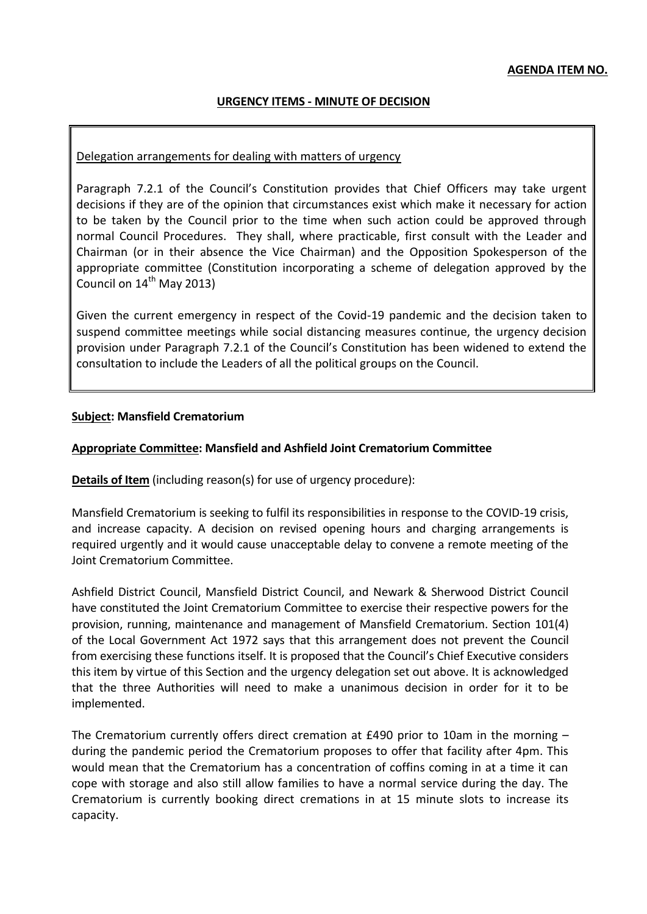# **URGENCY ITEMS - MINUTE OF DECISION**

## Delegation arrangements for dealing with matters of urgency

Paragraph 7.2.1 of the Council's Constitution provides that Chief Officers may take urgent decisions if they are of the opinion that circumstances exist which make it necessary for action to be taken by the Council prior to the time when such action could be approved through normal Council Procedures. They shall, where practicable, first consult with the Leader and Chairman (or in their absence the Vice Chairman) and the Opposition Spokesperson of the appropriate committee (Constitution incorporating a scheme of delegation approved by the Council on 14<sup>th</sup> May 2013)

Given the current emergency in respect of the Covid-19 pandemic and the decision taken to suspend committee meetings while social distancing measures continue, the urgency decision provision under Paragraph 7.2.1 of the Council's Constitution has been widened to extend the consultation to include the Leaders of all the political groups on the Council.

#### **Subject: Mansfield Crematorium**

#### **Appropriate Committee: Mansfield and Ashfield Joint Crematorium Committee**

**Details of Item** (including reason(s) for use of urgency procedure):

Mansfield Crematorium is seeking to fulfil its responsibilities in response to the COVID-19 crisis, and increase capacity. A decision on revised opening hours and charging arrangements is required urgently and it would cause unacceptable delay to convene a remote meeting of the Joint Crematorium Committee.

Ashfield District Council, Mansfield District Council, and Newark & Sherwood District Council have constituted the Joint Crematorium Committee to exercise their respective powers for the provision, running, maintenance and management of Mansfield Crematorium. Section 101(4) of the Local Government Act 1972 says that this arrangement does not prevent the Council from exercising these functions itself. It is proposed that the Council's Chief Executive considers this item by virtue of this Section and the urgency delegation set out above. It is acknowledged that the three Authorities will need to make a unanimous decision in order for it to be implemented.

The Crematorium currently offers direct cremation at £490 prior to 10am in the morning – during the pandemic period the Crematorium proposes to offer that facility after 4pm. This would mean that the Crematorium has a concentration of coffins coming in at a time it can cope with storage and also still allow families to have a normal service during the day. The Crematorium is currently booking direct cremations in at 15 minute slots to increase its capacity.